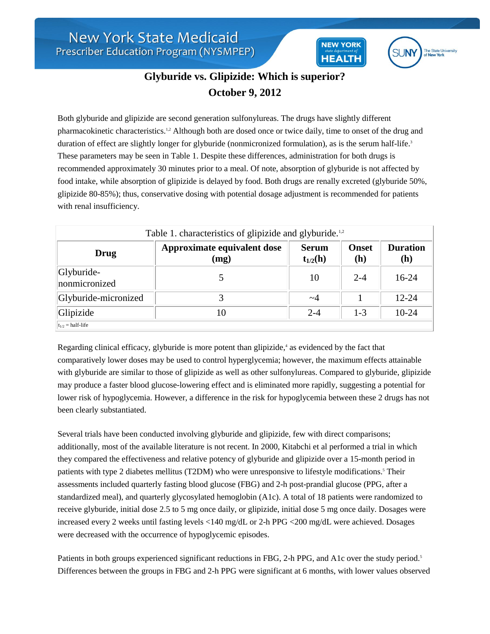



## **Glyburide vs. Glipizide: Which is superior? October 9, 2012**

Both glyburide and glipizide are second generation sulfonylureas. The drugs have slightly different pharmacokinetic characteristics.1,2 Although both are dosed once or twice daily, time to onset of the drug and duration of effect are slightly longer for glyburide (nonmicronized formulation), as is the serum half-life.<sup>3</sup> These parameters may be seen in Table 1. Despite these differences, administration for both drugs is recommended approximately 30 minutes prior to a meal. Of note, absorption of glyburide is not affected by food intake, while absorption of glipizide is delayed by food. Both drugs are renally excreted (glyburide 50%, glipizide 80-85%); thus, conservative dosing with potential dosage adjustment is recommended for patients with renal insufficiency.

| Table 1. characteristics of glipizide and glyburide. <sup>1,2</sup> |                                     |                              |                     |                        |
|---------------------------------------------------------------------|-------------------------------------|------------------------------|---------------------|------------------------|
| Drug                                                                | Approximate equivalent dose<br>(mg) | <b>Serum</b><br>$t_{1/2}(h)$ | <b>Onset</b><br>(h) | <b>Duration</b><br>(h) |
| Glyburide-<br>nonmicronized                                         |                                     | 10                           | $2 - 4$             | $16-24$                |
| Glyburide-micronized                                                |                                     | $\sim\!\!4$                  |                     | $12 - 24$              |
| Glipizide                                                           | 10                                  | $2 - 4$                      | $1 - 3$             | $10-24$                |
| $ t_{1/2}$ = half-life                                              |                                     |                              |                     |                        |

Regarding clinical efficacy, glyburide is more potent than glipizide,<sup>4</sup> as evidenced by the fact that comparatively lower doses may be used to control hyperglycemia; however, the maximum effects attainable with glyburide are similar to those of glipizide as well as other sulfonylureas. Compared to glyburide, glipizide may produce a faster blood glucose-lowering effect and is eliminated more rapidly, suggesting a potential for lower risk of hypoglycemia. However, a difference in the risk for hypoglycemia between these 2 drugs has not been clearly substantiated.

Several trials have been conducted involving glyburide and glipizide, few with direct comparisons; additionally, most of the available literature is not recent. In 2000, Kitabchi et al performed a trial in which they compared the effectiveness and relative potency of glyburide and glipizide over a 15-month period in patients with type 2 diabetes mellitus (T2DM) who were unresponsive to lifestyle modifications.<sup>5</sup> Their assessments included quarterly fasting blood glucose (FBG) and 2-h post-prandial glucose (PPG, after a standardized meal), and quarterly glycosylated hemoglobin (A1c). A total of 18 patients were randomized to receive glyburide, initial dose 2.5 to 5 mg once daily, or glipizide, initial dose 5 mg once daily. Dosages were increased every 2 weeks until fasting levels <140 mg/dL or 2-h PPG <200 mg/dL were achieved. Dosages were decreased with the occurrence of hypoglycemic episodes.

Patients in both groups experienced significant reductions in FBG, 2-h PPG, and A1c over the study period.<sup>5</sup> Differences between the groups in FBG and 2-h PPG were significant at 6 months, with lower values observed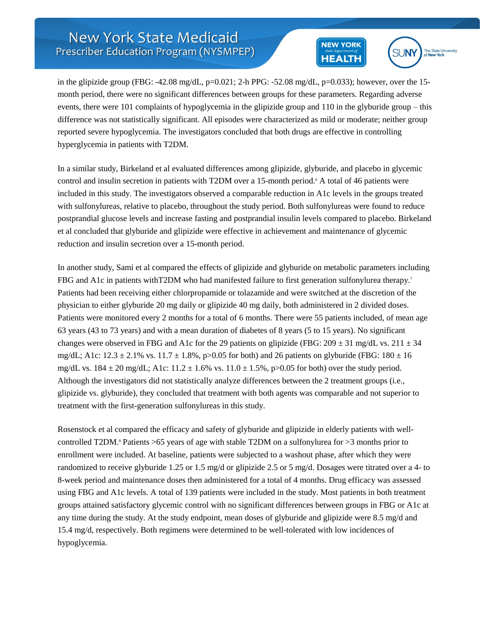## **New York State Medicaid** Prescriber Education Program (NYSMPEP)





in the glipizide group (FBG:  $-42.08 \text{ mg/dL}$ , p=0.021; 2-h PPG:  $-52.08 \text{ mg/dL}$ , p=0.033); however, over the 15month period, there were no significant differences between groups for these parameters. Regarding adverse events, there were 101 complaints of hypoglycemia in the glipizide group and 110 in the glyburide group – this difference was not statistically significant. All episodes were characterized as mild or moderate; neither group reported severe hypoglycemia. The investigators concluded that both drugs are effective in controlling hyperglycemia in patients with T2DM.

In a similar study, Birkeland et al evaluated differences among glipizide, glyburide, and placebo in glycemic control and insulin secretion in patients with T2DM over a 15-month period.<sup>6</sup> A total of 46 patients were included in this study. The investigators observed a comparable reduction in A1c levels in the groups treated with sulfonylureas, relative to placebo, throughout the study period. Both sulfonylureas were found to reduce postprandial glucose levels and increase fasting and postprandial insulin levels compared to placebo. Birkeland et al concluded that glyburide and glipizide were effective in achievement and maintenance of glycemic reduction and insulin secretion over a 15-month period.

In another study, Sami et al compared the effects of glipizide and glyburide on metabolic parameters including FBG and A1c in patients withT2DM who had manifested failure to first generation sulfonylurea therapy.<sup>7</sup> Patients had been receiving either chlorpropamide or tolazamide and were switched at the discretion of the physician to either glyburide 20 mg daily or glipizide 40 mg daily, both administered in 2 divided doses. Patients were monitored every 2 months for a total of 6 months. There were 55 patients included, of mean age 63 years (43 to 73 years) and with a mean duration of diabetes of 8 years (5 to 15 years). No significant changes were observed in FBG and A1c for the 29 patients on glipizide (FBG:  $209 \pm 31$  mg/dL vs.  $211 \pm 34$ mg/dL; A1c:  $12.3 \pm 2.1\%$  vs.  $11.7 \pm 1.8\%$ , p>0.05 for both) and 26 patients on glyburide (FBG:  $180 \pm 16$ ) mg/dL vs.  $184 \pm 20$  mg/dL; A1c:  $11.2 \pm 1.6$ % vs.  $11.0 \pm 1.5$ %, p>0.05 for both) over the study period. Although the investigators did not statistically analyze differences between the 2 treatment groups (i.e., glipizide vs. glyburide), they concluded that treatment with both agents was comparable and not superior to treatment with the first-generation sulfonylureas in this study.

Rosenstock et al compared the efficacy and safety of glyburide and glipizide in elderly patients with wellcontrolled T2DM.<sup>8</sup> Patients  $>65$  years of age with stable T2DM on a sulfonylurea for  $>3$  months prior to enrollment were included. At baseline, patients were subjected to a washout phase, after which they were randomized to receive glyburide 1.25 or 1.5 mg/d or glipizide 2.5 or 5 mg/d. Dosages were titrated over a 4- to 8-week period and maintenance doses then administered for a total of 4 months. Drug efficacy was assessed using FBG and A1c levels. A total of 139 patients were included in the study. Most patients in both treatment groups attained satisfactory glycemic control with no significant differences between groups in FBG or A1c at any time during the study. At the study endpoint, mean doses of glyburide and glipizide were 8.5 mg/d and 15.4 mg/d, respectively. Both regimens were determined to be well-tolerated with low incidences of hypoglycemia.